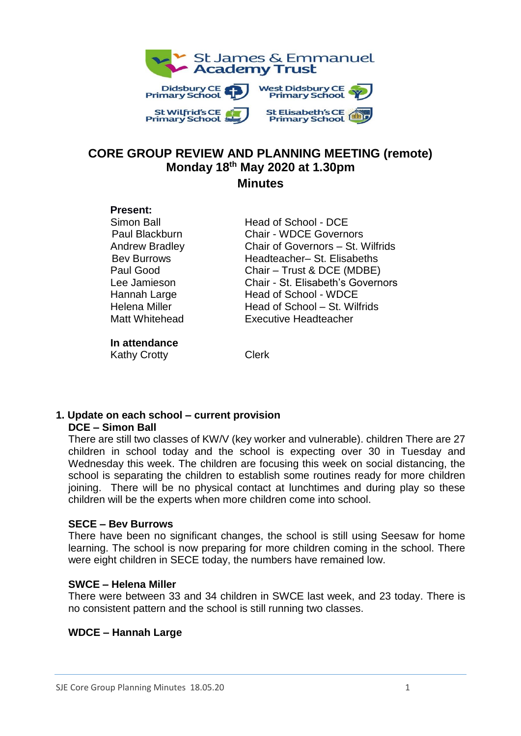

### **CORE GROUP REVIEW AND PLANNING MEETING (remote) Monday 18 th May 2020 at 1.30pm Minutes**

#### **Present:**

Simon Ball **Head of School - DCE** Paul Blackburn Chair - WDCE Governors Andrew Bradley Chair of Governors – St. Wilfrids Bev Burrows Headteacher– St. Elisabeths Paul Good Chair – Trust & DCE (MDBE) Lee Jamieson Chair - St. Elisabeth's Governors Hannah Large Head of School - WDCE Helena Miller **Head of School – St. Wilfrids** Matt Whitehead Executive Headteacher

# **In attendance**

Kathy Crotty **Clerk** 

#### **1. Update on each school – current provision DCE – Simon Ball**

There are still two classes of KW/V (key worker and vulnerable). children There are 27 children in school today and the school is expecting over 30 in Tuesday and Wednesday this week. The children are focusing this week on social distancing, the school is separating the children to establish some routines ready for more children joining. There will be no physical contact at lunchtimes and during play so these children will be the experts when more children come into school.

## **SECE – Bev Burrows**

There have been no significant changes, the school is still using Seesaw for home learning. The school is now preparing for more children coming in the school. There were eight children in SECE today, the numbers have remained low.

# **SWCE – Helena Miller**

There were between 33 and 34 children in SWCE last week, and 23 today. There is no consistent pattern and the school is still running two classes.

# **WDCE – Hannah Large**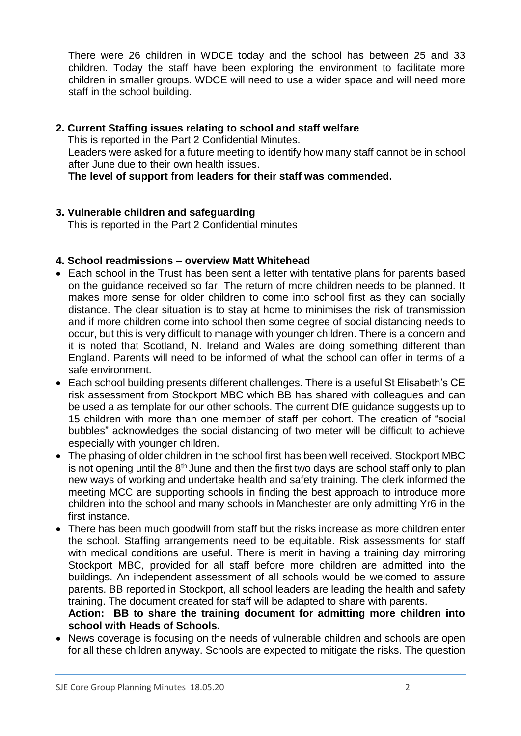There were 26 children in WDCE today and the school has between 25 and 33 children. Today the staff have been exploring the environment to facilitate more children in smaller groups. WDCE will need to use a wider space and will need more staff in the school building.

#### **2. Current Staffing issues relating to school and staff welfare**

This is reported in the Part 2 Confidential Minutes.

Leaders were asked for a future meeting to identify how many staff cannot be in school after June due to their own health issues.

**The level of support from leaders for their staff was commended.**

### **3. Vulnerable children and safeguarding**

This is reported in the Part 2 Confidential minutes

#### **4. School readmissions – overview Matt Whitehead**

- Each school in the Trust has been sent a letter with tentative plans for parents based on the guidance received so far. The return of more children needs to be planned. It makes more sense for older children to come into school first as they can socially distance. The clear situation is to stay at home to minimises the risk of transmission and if more children come into school then some degree of social distancing needs to occur, but this is very difficult to manage with younger children. There is a concern and it is noted that Scotland, N. Ireland and Wales are doing something different than England. Parents will need to be informed of what the school can offer in terms of a safe environment.
- Each school building presents different challenges. There is a useful St Elisabeth's CE risk assessment from Stockport MBC which BB has shared with colleagues and can be used a as template for our other schools. The current DfE guidance suggests up to 15 children with more than one member of staff per cohort. The creation of "social bubbles" acknowledges the social distancing of two meter will be difficult to achieve especially with younger children.
- The phasing of older children in the school first has been well received. Stockport MBC is not opening until the  $8<sup>th</sup>$  June and then the first two days are school staff only to plan new ways of working and undertake health and safety training. The clerk informed the meeting MCC are supporting schools in finding the best approach to introduce more children into the school and many schools in Manchester are only admitting Yr6 in the first instance.
- There has been much goodwill from staff but the risks increase as more children enter the school. Staffing arrangements need to be equitable. Risk assessments for staff with medical conditions are useful. There is merit in having a training day mirroring Stockport MBC, provided for all staff before more children are admitted into the buildings. An independent assessment of all schools would be welcomed to assure parents. BB reported in Stockport, all school leaders are leading the health and safety training. The document created for staff will be adapted to share with parents.

**Action: BB to share the training document for admitting more children into school with Heads of Schools.**

 News coverage is focusing on the needs of vulnerable children and schools are open for all these children anyway. Schools are expected to mitigate the risks. The question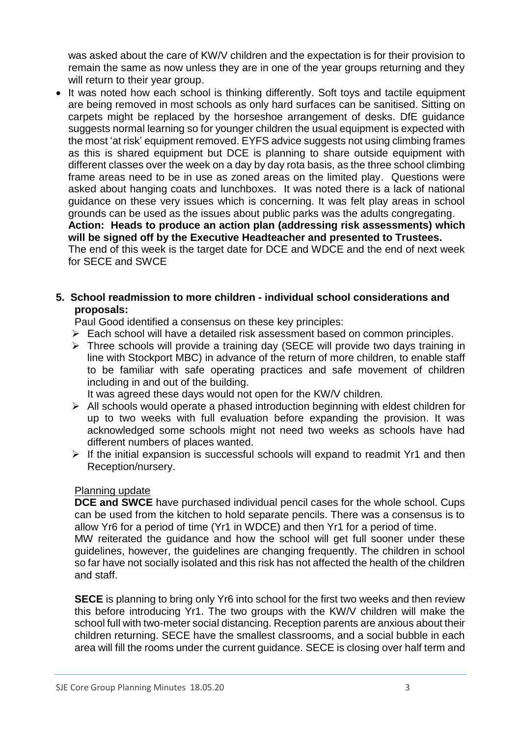was asked about the care of KW/V children and the expectation is for their provision to remain the same as now unless they are in one of the year groups returning and they will return to their year group.

• It was noted how each school is thinking differently. Soft toys and tactile equipment are being removed in most schools as only hard surfaces can be sanitised. Sitting on carpets might be replaced by the horseshoe arrangement of desks. DfE guidance suggests normal learning so for younger children the usual equipment is expected with the most 'at risk' equipment removed. EYFS advice suggests not using climbing frames as this is shared equipment but DCE is planning to share outside equipment with different classes over the week on a day by day rota basis, as the three school climbing frame areas need to be in use as zoned areas on the limited play. Questions were asked about hanging coats and lunchboxes. It was noted there is a lack of national guidance on these very issues which is concerning. It was felt play areas in school grounds can be used as the issues about public parks was the adults congregating. **Action: Heads to produce an action plan (addressing risk assessments) which will be signed off by the Executive Headteacher and presented to Trustees.** The end of this week is the target date for DCE and WDCE and the end of next week for SECE and SWCE

#### **5. School readmission to more children - individual school considerations and proposals:**

Paul Good identified a consensus on these key principles:

- Each school will have a detailed risk assessment based on common principles.
- Three schools will provide a training day (SECE will provide two days training in line with Stockport MBC) in advance of the return of more children, to enable staff to be familiar with safe operating practices and safe movement of children including in and out of the building.

It was agreed these days would not open for the KW/V children.

- $\triangleright$  All schools would operate a phased introduction beginning with eldest children for up to two weeks with full evaluation before expanding the provision. It was acknowledged some schools might not need two weeks as schools have had different numbers of places wanted.
- $\triangleright$  If the initial expansion is successful schools will expand to readmit Yr1 and then Reception/nursery.

### Planning update

**DCE and SWCE** have purchased individual pencil cases for the whole school. Cups can be used from the kitchen to hold separate pencils. There was a consensus is to allow Yr6 for a period of time (Yr1 in WDCE) and then Yr1 for a period of time.

MW reiterated the guidance and how the school will get full sooner under these guidelines, however, the guidelines are changing frequently. The children in school so far have not socially isolated and this risk has not affected the health of the children and staff.

**SECE** is planning to bring only Yr6 into school for the first two weeks and then review this before introducing Yr1. The two groups with the KW/V children will make the school full with two-meter social distancing. Reception parents are anxious about their children returning. SECE have the smallest classrooms, and a social bubble in each area will fill the rooms under the current guidance. SECE is closing over half term and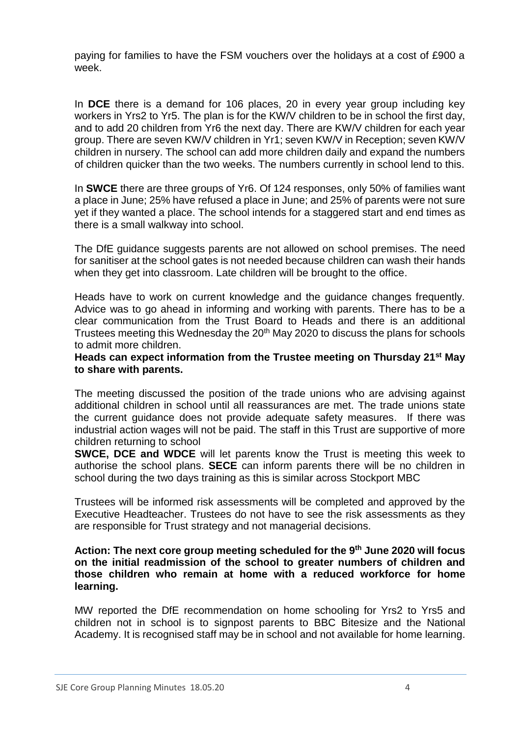paying for families to have the FSM vouchers over the holidays at a cost of £900 a week.

In **DCE** there is a demand for 106 places, 20 in every year group including key workers in Yrs2 to Yr5. The plan is for the KW/V children to be in school the first day, and to add 20 children from Yr6 the next day. There are KW/V children for each year group. There are seven KW/V children in Yr1; seven KW/V in Reception; seven KW/V children in nursery. The school can add more children daily and expand the numbers of children quicker than the two weeks. The numbers currently in school lend to this.

In **SWCE** there are three groups of Yr6. Of 124 responses, only 50% of families want a place in June; 25% have refused a place in June; and 25% of parents were not sure yet if they wanted a place. The school intends for a staggered start and end times as there is a small walkway into school.

The DfE guidance suggests parents are not allowed on school premises. The need for sanitiser at the school gates is not needed because children can wash their hands when they get into classroom. Late children will be brought to the office.

Heads have to work on current knowledge and the guidance changes frequently. Advice was to go ahead in informing and working with parents. There has to be a clear communication from the Trust Board to Heads and there is an additional Trustees meeting this Wednesday the 20<sup>th</sup> May 2020 to discuss the plans for schools to admit more children.

#### **Heads can expect information from the Trustee meeting on Thursday 21st May to share with parents.**

The meeting discussed the position of the trade unions who are advising against additional children in school until all reassurances are met. The trade unions state the current guidance does not provide adequate safety measures. If there was industrial action wages will not be paid. The staff in this Trust are supportive of more children returning to school

**SWCE, DCE and WDCE** will let parents know the Trust is meeting this week to authorise the school plans. **SECE** can inform parents there will be no children in school during the two days training as this is similar across Stockport MBC

Trustees will be informed risk assessments will be completed and approved by the Executive Headteacher. Trustees do not have to see the risk assessments as they are responsible for Trust strategy and not managerial decisions.

#### **Action: The next core group meeting scheduled for the 9th June 2020 will focus on the initial readmission of the school to greater numbers of children and those children who remain at home with a reduced workforce for home learning.**

MW reported the DfE recommendation on home schooling for Yrs2 to Yrs5 and children not in school is to signpost parents to BBC Bitesize and the National Academy. It is recognised staff may be in school and not available for home learning.